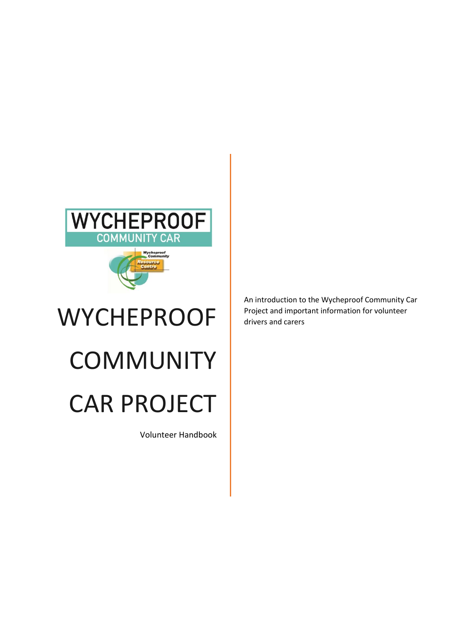

# **WYCHEPROOF COMMUNITY** CAR PROJECT

Volunteer Handbook

An introduction to the Wycheproof Community Car Project and important information for volunteer drivers and carers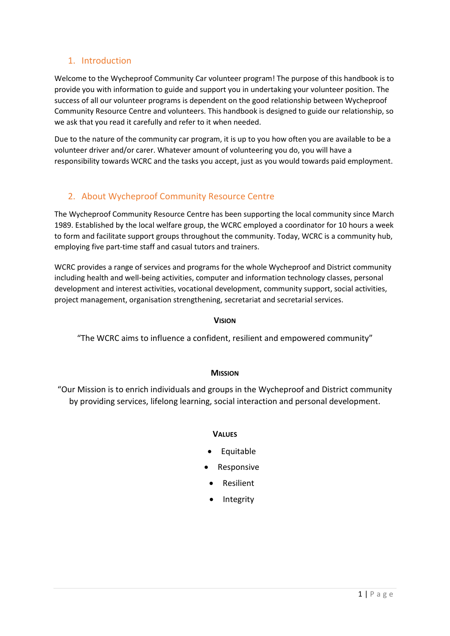# 1. Introduction

Welcome to the Wycheproof Community Car volunteer program! The purpose of this handbook is to provide you with information to guide and support you in undertaking your volunteer position. The success of all our volunteer programs is dependent on the good relationship between Wycheproof Community Resource Centre and volunteers. This handbook is designed to guide our relationship, so we ask that you read it carefully and refer to it when needed.

Due to the nature of the community car program, it is up to you how often you are available to be a volunteer driver and/or carer. Whatever amount of volunteering you do, you will have a responsibility towards WCRC and the tasks you accept, just as you would towards paid employment.

# 2. About Wycheproof Community Resource Centre

The Wycheproof Community Resource Centre has been supporting the local community since March 1989. Established by the local welfare group, the WCRC employed a coordinator for 10 hours a week to form and facilitate support groups throughout the community. Today, WCRC is a community hub, employing five part-time staff and casual tutors and trainers.

WCRC provides a range of services and programs for the whole Wycheproof and District community including health and well-being activities, computer and information technology classes, personal development and interest activities, vocational development, community support, social activities, project management, organisation strengthening, secretariat and secretarial services.

## **VISION**

"The WCRC aims to influence a confident, resilient and empowered community"

## **MISSION**

"Our Mission is to enrich individuals and groups in the Wycheproof and District community by providing services, lifelong learning, social interaction and personal development.

## **VALUES**

- Equitable
- Responsive
- Resilient
- Integrity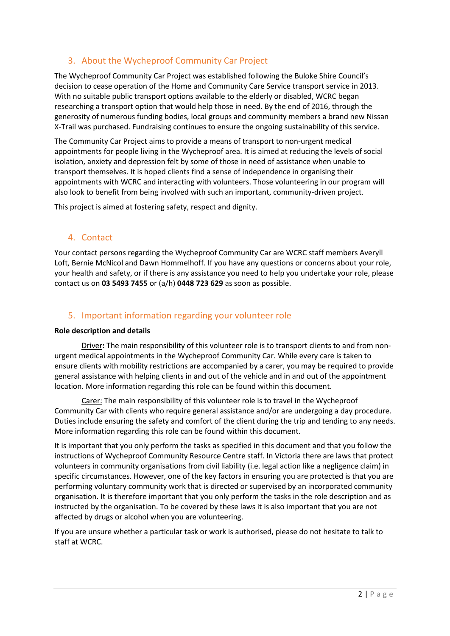# 3. About the Wycheproof Community Car Project

The Wycheproof Community Car Project was established following the Buloke Shire Council's decision to cease operation of the Home and Community Care Service transport service in 2013. With no suitable public transport options available to the elderly or disabled, WCRC began researching a transport option that would help those in need. By the end of 2016, through the generosity of numerous funding bodies, local groups and community members a brand new Nissan X-Trail was purchased. Fundraising continues to ensure the ongoing sustainability of this service.

The Community Car Project aims to provide a means of transport to non-urgent medical appointments for people living in the Wycheproof area. It is aimed at reducing the levels of social isolation, anxiety and depression felt by some of those in need of assistance when unable to transport themselves. It is hoped clients find a sense of independence in organising their appointments with WCRC and interacting with volunteers. Those volunteering in our program will also look to benefit from being involved with such an important, community-driven project.

This project is aimed at fostering safety, respect and dignity.

# 4. Contact

Your contact persons regarding the Wycheproof Community Car are WCRC staff members Averyll Loft, Bernie McNicol and Dawn Hommelhoff. If you have any questions or concerns about your role, your health and safety, or if there is any assistance you need to help you undertake your role, please contact us on **03 5493 7455** or (a/h) **0448 723 629** as soon as possible.

# 5. Important information regarding your volunteer role

#### **Role description and details**

Driver**:** The main responsibility of this volunteer role is to transport clients to and from nonurgent medical appointments in the Wycheproof Community Car. While every care is taken to ensure clients with mobility restrictions are accompanied by a carer, you may be required to provide general assistance with helping clients in and out of the vehicle and in and out of the appointment location. More information regarding this role can be found within this document.

Carer: The main responsibility of this volunteer role is to travel in the Wycheproof Community Car with clients who require general assistance and/or are undergoing a day procedure. Duties include ensuring the safety and comfort of the client during the trip and tending to any needs. More information regarding this role can be found within this document.

It is important that you only perform the tasks as specified in this document and that you follow the instructions of Wycheproof Community Resource Centre staff. In Victoria there are laws that protect volunteers in community organisations from civil liability (i.e. legal action like a negligence claim) in specific circumstances. However, one of the key factors in ensuring you are protected is that you are performing voluntary community work that is directed or supervised by an incorporated community organisation. It is therefore important that you only perform the tasks in the role description and as instructed by the organisation. To be covered by these laws it is also important that you are not affected by drugs or alcohol when you are volunteering.

If you are unsure whether a particular task or work is authorised, please do not hesitate to talk to staff at WCRC.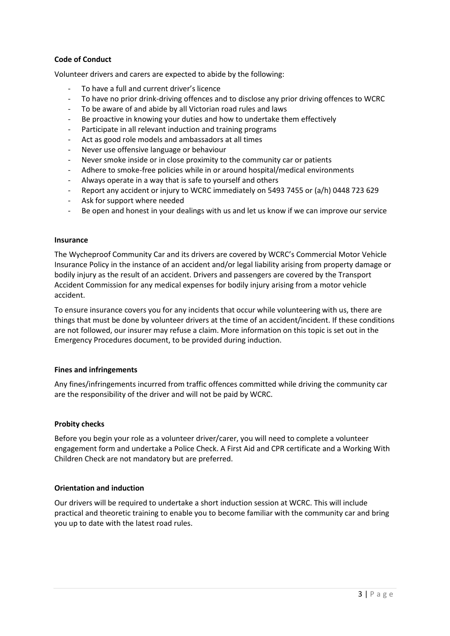## **Code of Conduct**

Volunteer drivers and carers are expected to abide by the following:

- To have a full and current driver's licence
- To have no prior drink-driving offences and to disclose any prior driving offences to WCRC
- To be aware of and abide by all Victorian road rules and laws
- Be proactive in knowing your duties and how to undertake them effectively
- Participate in all relevant induction and training programs
- Act as good role models and ambassadors at all times
- Never use offensive language or behaviour
- Never smoke inside or in close proximity to the community car or patients
- Adhere to smoke-free policies while in or around hospital/medical environments
- Always operate in a way that is safe to yourself and others
- Report any accident or injury to WCRC immediately on 5493 7455 or (a/h) 0448 723 629
- Ask for support where needed
- Be open and honest in your dealings with us and let us know if we can improve our service

#### **Insurance**

The Wycheproof Community Car and its drivers are covered by WCRC's Commercial Motor Vehicle Insurance Policy in the instance of an accident and/or legal liability arising from property damage or bodily injury as the result of an accident. Drivers and passengers are covered by the Transport Accident Commission for any medical expenses for bodily injury arising from a motor vehicle accident.

To ensure insurance covers you for any incidents that occur while volunteering with us, there are things that must be done by volunteer drivers at the time of an accident/incident. If these conditions are not followed, our insurer may refuse a claim. More information on this topic is set out in the Emergency Procedures document, to be provided during induction.

#### **Fines and infringements**

Any fines/infringements incurred from traffic offences committed while driving the community car are the responsibility of the driver and will not be paid by WCRC.

#### **Probity checks**

Before you begin your role as a volunteer driver/carer, you will need to complete a volunteer engagement form and undertake a Police Check. A First Aid and CPR certificate and a Working With Children Check are not mandatory but are preferred.

#### **Orientation and induction**

Our drivers will be required to undertake a short induction session at WCRC. This will include practical and theoretic training to enable you to become familiar with the community car and bring you up to date with the latest road rules.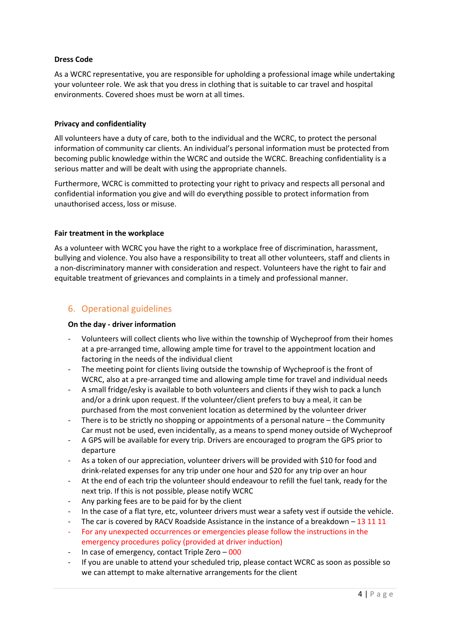## **Dress Code**

As a WCRC representative, you are responsible for upholding a professional image while undertaking your volunteer role. We ask that you dress in clothing that is suitable to car travel and hospital environments. Covered shoes must be worn at all times.

#### **Privacy and confidentiality**

All volunteers have a duty of care, both to the individual and the WCRC, to protect the personal information of community car clients. An individual's personal information must be protected from becoming public knowledge within the WCRC and outside the WCRC. Breaching confidentiality is a serious matter and will be dealt with using the appropriate channels.

Furthermore, WCRC is committed to protecting your right to privacy and respects all personal and confidential information you give and will do everything possible to protect information from unauthorised access, loss or misuse.

#### **Fair treatment in the workplace**

As a volunteer with WCRC you have the right to a workplace free of discrimination, harassment, bullying and violence. You also have a responsibility to treat all other volunteers, staff and clients in a non-discriminatory manner with consideration and respect. Volunteers have the right to fair and equitable treatment of grievances and complaints in a timely and professional manner.

# 6. Operational guidelines

#### **On the day - driver information**

- Volunteers will collect clients who live within the township of Wycheproof from their homes at a pre-arranged time, allowing ample time for travel to the appointment location and factoring in the needs of the individual client
- The meeting point for clients living outside the township of Wycheproof is the front of WCRC, also at a pre-arranged time and allowing ample time for travel and individual needs
- A small fridge/esky is available to both volunteers and clients if they wish to pack a lunch and/or a drink upon request. If the volunteer/client prefers to buy a meal, it can be purchased from the most convenient location as determined by the volunteer driver
- There is to be strictly no shopping or appointments of a personal nature the Community Car must not be used, even incidentally, as a means to spend money outside of Wycheproof
- A GPS will be available for every trip. Drivers are encouraged to program the GPS prior to departure
- As a token of our appreciation, volunteer drivers will be provided with \$10 for food and drink-related expenses for any trip under one hour and \$20 for any trip over an hour
- At the end of each trip the volunteer should endeavour to refill the fuel tank, ready for the next trip. If this is not possible, please notify WCRC
- Any parking fees are to be paid for by the client
- In the case of a flat tyre, etc, volunteer drivers must wear a safety vest if outside the vehicle.
- The car is covered by RACV Roadside Assistance in the instance of a breakdown  $-$  13 11 11
- For any unexpected occurrences or emergencies please follow the instructions in the emergency procedures policy (provided at driver induction)
- In case of emergency, contact Triple Zero 000
- If you are unable to attend your scheduled trip, please contact WCRC as soon as possible so we can attempt to make alternative arrangements for the client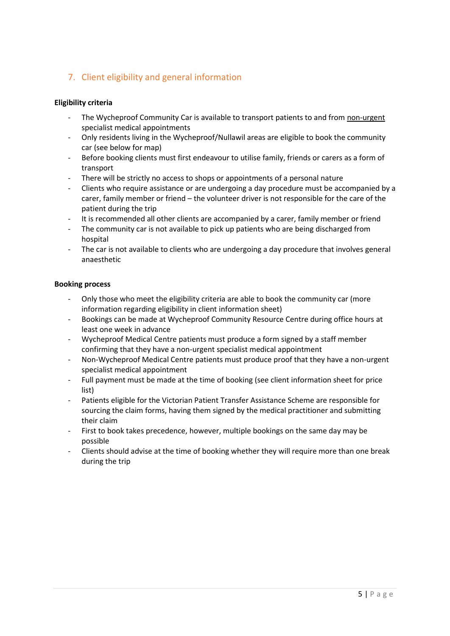# 7. Client eligibility and general information

## **Eligibility criteria**

- The Wycheproof Community Car is available to transport patients to and from non-urgent specialist medical appointments
- Only residents living in the Wycheproof/Nullawil areas are eligible to book the community car (see below for map)
- Before booking clients must first endeavour to utilise family, friends or carers as a form of transport
- There will be strictly no access to shops or appointments of a personal nature
- Clients who require assistance or are undergoing a day procedure must be accompanied by a carer, family member or friend – the volunteer driver is not responsible for the care of the patient during the trip
- It is recommended all other clients are accompanied by a carer, family member or friend
- The community car is not available to pick up patients who are being discharged from hospital
- The car is not available to clients who are undergoing a day procedure that involves general anaesthetic

## **Booking process**

- Only those who meet the eligibility criteria are able to book the community car (more information regarding eligibility in client information sheet)
- Bookings can be made at Wycheproof Community Resource Centre during office hours at least one week in advance
- Wycheproof Medical Centre patients must produce a form signed by a staff member confirming that they have a non-urgent specialist medical appointment
- Non-Wycheproof Medical Centre patients must produce proof that they have a non-urgent specialist medical appointment
- Full payment must be made at the time of booking (see client information sheet for price list)
- Patients eligible for the Victorian Patient Transfer Assistance Scheme are responsible for sourcing the claim forms, having them signed by the medical practitioner and submitting their claim
- First to book takes precedence, however, multiple bookings on the same day may be possible
- Clients should advise at the time of booking whether they will require more than one break during the trip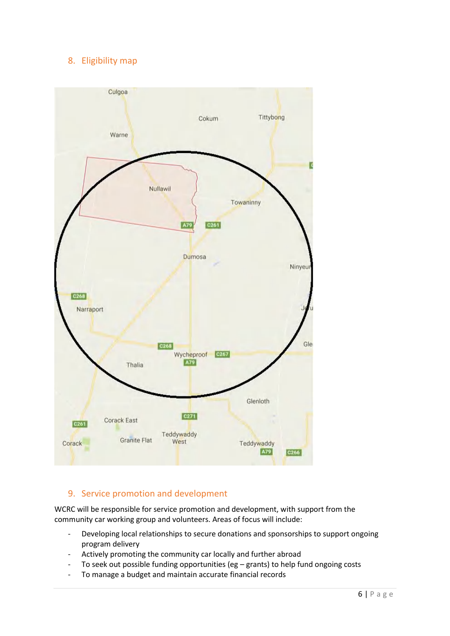# 8. Eligibility map



# 9. Service promotion and development

WCRC will be responsible for service promotion and development, with support from the community car working group and volunteers. Areas of focus will include:

- Developing local relationships to secure donations and sponsorships to support ongoing program delivery
- Actively promoting the community car locally and further abroad
- To seek out possible funding opportunities (eg grants) to help fund ongoing costs
- To manage a budget and maintain accurate financial records